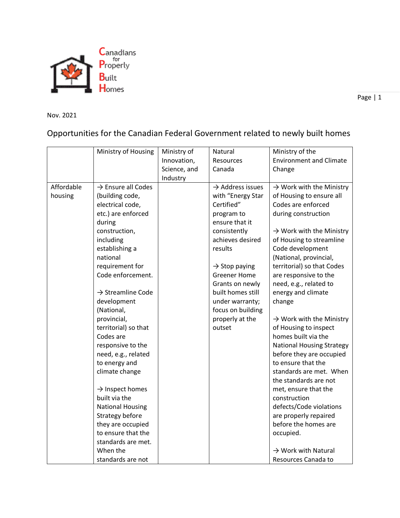

Page | 1

Nov. 2021

## Opportunities for the Canadian Federal Government related to newly built homes

|            | Ministry of Housing            | Ministry of  | Natural                      | Ministry of the                      |
|------------|--------------------------------|--------------|------------------------------|--------------------------------------|
|            |                                | Innovation,  | Resources                    | <b>Environment and Climate</b>       |
|            |                                | Science, and | Canada                       | Change                               |
|            |                                | Industry     |                              |                                      |
| Affordable | $\rightarrow$ Ensure all Codes |              | $\rightarrow$ Address issues | $\rightarrow$ Work with the Ministry |
| housing    | (building code,                |              | with "Energy Star            | of Housing to ensure all             |
|            | electrical code,               |              | Certified"                   | Codes are enforced                   |
|            | etc.) are enforced             |              | program to                   | during construction                  |
|            | during                         |              | ensure that it               |                                      |
|            | construction,                  |              | consistently                 | $\rightarrow$ Work with the Ministry |
|            | including                      |              | achieves desired             | of Housing to streamline             |
|            | establishing a                 |              | results                      | Code development                     |
|            | national                       |              |                              | (National, provincial,               |
|            | requirement for                |              | $\rightarrow$ Stop paying    | territorial) so that Codes           |
|            | Code enforcement.              |              | <b>Greener Home</b>          | are responsive to the                |
|            |                                |              | Grants on newly              | need, e.g., related to               |
|            | $\rightarrow$ Streamline Code  |              | built homes still            | energy and climate                   |
|            | development                    |              | under warranty;              | change                               |
|            | (National,                     |              | focus on building            |                                      |
|            | provincial,                    |              | properly at the              | $\rightarrow$ Work with the Ministry |
|            | territorial) so that           |              | outset                       | of Housing to inspect                |
|            | Codes are                      |              |                              | homes built via the                  |
|            | responsive to the              |              |                              | <b>National Housing Strategy</b>     |
|            | need, e.g., related            |              |                              | before they are occupied             |
|            | to energy and                  |              |                              | to ensure that the                   |
|            | climate change                 |              |                              | standards are met. When              |
|            |                                |              |                              | the standards are not                |
|            | $\rightarrow$ Inspect homes    |              |                              | met, ensure that the                 |
|            | built via the                  |              |                              | construction                         |
|            | <b>National Housing</b>        |              |                              | defects/Code violations              |
|            | Strategy before                |              |                              | are properly repaired                |
|            | they are occupied              |              |                              | before the homes are                 |
|            | to ensure that the             |              |                              | occupied.                            |
|            | standards are met.             |              |                              |                                      |
|            | When the                       |              |                              | $\rightarrow$ Work with Natural      |
|            | standards are not              |              |                              | Resources Canada to                  |